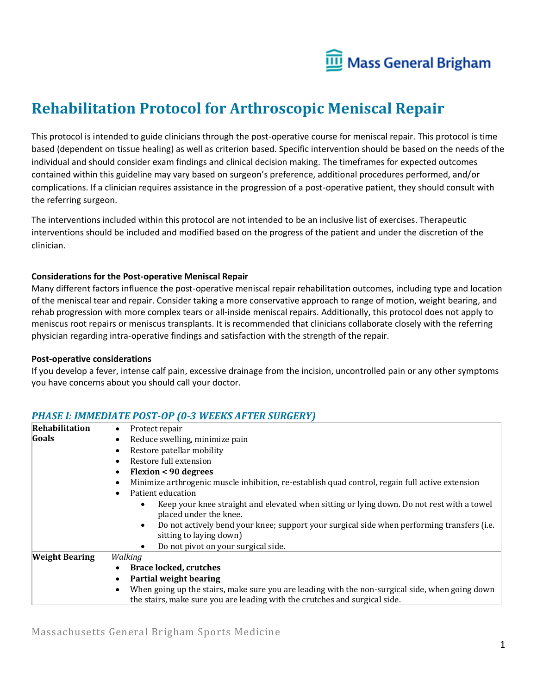

# **Rehabilitation Protocol for Arthroscopic Meniscal Repair**

This protocol is intended to guide clinicians through the post-operative course for meniscal repair. This protocol is time based (dependent on tissue healing) as well as criterion based. Specific intervention should be based on the needs of the individual and should consider exam findings and clinical decision making. The timeframes for expected outcomes contained within this guideline may vary based on surgeon's preference, additional procedures performed, and/or complications. If a clinician requires assistance in the progression of a post-operative patient, they should consult with the referring surgeon.

The interventions included within this protocol are not intended to be an inclusive list of exercises. Therapeutic interventions should be included and modified based on the progress of the patient and under the discretion of the clinician.

### **Considerations for the Post-operative Meniscal Repair**

Many different factors influence the post-operative meniscal repair rehabilitation outcomes, including type and location of the meniscal tear and repair. Consider taking a more conservative approach to range of motion, weight bearing, and rehab progression with more complex tears or all-inside meniscal repairs. Additionally, this protocol does not apply to meniscus root repairs or meniscus transplants. It is recommended that clinicians collaborate closely with the referring physician regarding intra-operative findings and satisfaction with the strength of the repair.

#### **Post-operative considerations**

If you develop a fever, intense calf pain, excessive drainage from the incision, uncontrolled pain or any other symptoms you have concerns about you should call your doctor.

| Rehabilitation        | Protect repair<br>$\bullet$                                                                                                                                                   |  |  |  |  |  |
|-----------------------|-------------------------------------------------------------------------------------------------------------------------------------------------------------------------------|--|--|--|--|--|
| Goals                 | Reduce swelling, minimize pain                                                                                                                                                |  |  |  |  |  |
|                       | Restore patellar mobility                                                                                                                                                     |  |  |  |  |  |
|                       | Restore full extension                                                                                                                                                        |  |  |  |  |  |
|                       | <b>Flexion &lt; 90 degrees</b>                                                                                                                                                |  |  |  |  |  |
|                       | Minimize arthrogenic muscle inhibition, re-establish quad control, regain full active extension                                                                               |  |  |  |  |  |
|                       | Patient education                                                                                                                                                             |  |  |  |  |  |
|                       | Keep your knee straight and elevated when sitting or lying down. Do not rest with a towel<br>placed under the knee.                                                           |  |  |  |  |  |
|                       | Do not actively bend your knee; support your surgical side when performing transfers (i.e.<br>$\bullet$<br>sitting to laying down)                                            |  |  |  |  |  |
|                       | Do not pivot on your surgical side.<br>$\bullet$                                                                                                                              |  |  |  |  |  |
| <b>Weight Bearing</b> | Walking                                                                                                                                                                       |  |  |  |  |  |
|                       | <b>Brace locked, crutches</b>                                                                                                                                                 |  |  |  |  |  |
|                       | Partial weight bearing                                                                                                                                                        |  |  |  |  |  |
|                       | When going up the stairs, make sure you are leading with the non-surgical side, when going down<br>the stairs, make sure you are leading with the crutches and surgical side. |  |  |  |  |  |

### *PHASE I: IMMEDIATE POST-OP (0-3 WEEKS AFTER SURGERY)*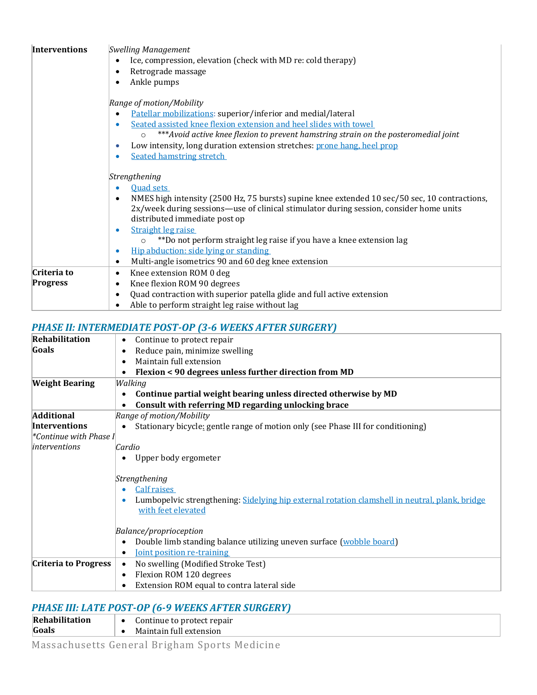| <b>Interventions</b> | <b>Swelling Management</b>                                                                                 |  |  |  |  |  |  |  |
|----------------------|------------------------------------------------------------------------------------------------------------|--|--|--|--|--|--|--|
|                      | Ice, compression, elevation (check with MD re: cold therapy)                                               |  |  |  |  |  |  |  |
|                      | Retrograde massage                                                                                         |  |  |  |  |  |  |  |
|                      | Ankle pumps                                                                                                |  |  |  |  |  |  |  |
|                      |                                                                                                            |  |  |  |  |  |  |  |
|                      | Range of motion/Mobility                                                                                   |  |  |  |  |  |  |  |
|                      | Patellar mobilizations: superior/inferior and medial/lateral                                               |  |  |  |  |  |  |  |
|                      | Seated assisted knee flexion extension and heel slides with towel                                          |  |  |  |  |  |  |  |
|                      | ***Avoid active knee flexion to prevent hamstring strain on the posteromedial joint<br>$\circ$             |  |  |  |  |  |  |  |
|                      | Low intensity, long duration extension stretches: prone hang, heel prop                                    |  |  |  |  |  |  |  |
|                      | <b>Seated hamstring stretch</b>                                                                            |  |  |  |  |  |  |  |
|                      |                                                                                                            |  |  |  |  |  |  |  |
|                      | Strengthening                                                                                              |  |  |  |  |  |  |  |
|                      | <b>Ouad sets</b>                                                                                           |  |  |  |  |  |  |  |
|                      | NMES high intensity (2500 Hz, 75 bursts) supine knee extended 10 sec/50 sec, 10 contractions,<br>$\bullet$ |  |  |  |  |  |  |  |
|                      | 2x/week during sessions—use of clinical stimulator during session, consider home units                     |  |  |  |  |  |  |  |
|                      | distributed immediate post op                                                                              |  |  |  |  |  |  |  |
|                      | Straight leg raise<br>۰                                                                                    |  |  |  |  |  |  |  |
|                      | **Do not perform straight leg raise if you have a knee extension lag                                       |  |  |  |  |  |  |  |
|                      | Hip abduction: side lying or standing<br>$\bullet$                                                         |  |  |  |  |  |  |  |
|                      | Multi-angle isometrics 90 and 60 deg knee extension                                                        |  |  |  |  |  |  |  |
| Criteria to          | Knee extension ROM 0 deg<br>٠                                                                              |  |  |  |  |  |  |  |
| Progress             | Knee flexion ROM 90 degrees                                                                                |  |  |  |  |  |  |  |
|                      | Quad contraction with superior patella glide and full active extension                                     |  |  |  |  |  |  |  |
|                      | Able to perform straight leg raise without lag                                                             |  |  |  |  |  |  |  |

## *PHASE II: INTERMEDIATE POST-OP (3-6 WEEKS AFTER SURGERY)*

| <b>Rehabilitation</b>       | Continue to protect repair<br>٠                                                                               |  |  |  |  |
|-----------------------------|---------------------------------------------------------------------------------------------------------------|--|--|--|--|
| Goals                       | Reduce pain, minimize swelling                                                                                |  |  |  |  |
|                             | Maintain full extension<br>٠                                                                                  |  |  |  |  |
|                             | Flexion < 90 degrees unless further direction from MD                                                         |  |  |  |  |
| <b>Weight Bearing</b>       | Walking                                                                                                       |  |  |  |  |
|                             | Continue partial weight bearing unless directed otherwise by MD                                               |  |  |  |  |
|                             | Consult with referring MD regarding unlocking brace                                                           |  |  |  |  |
| <b>Additional</b>           | Range of motion/Mobility                                                                                      |  |  |  |  |
| <b>Interventions</b>        | Stationary bicycle: gentle range of motion only (see Phase III for conditioning)                              |  |  |  |  |
| Continue with Phase I *>    |                                                                                                               |  |  |  |  |
| interventions               | Cardio                                                                                                        |  |  |  |  |
|                             | Upper body ergometer                                                                                          |  |  |  |  |
|                             | Strengthening                                                                                                 |  |  |  |  |
|                             | Calf raises<br>Lumbopelvic strengthening: Sidelying hip external rotation clamshell in neutral, plank, bridge |  |  |  |  |
|                             | with feet elevated                                                                                            |  |  |  |  |
|                             | Balance/proprioception                                                                                        |  |  |  |  |
|                             | Double limb standing balance utilizing uneven surface (wobble board)                                          |  |  |  |  |
|                             | Joint position re-training                                                                                    |  |  |  |  |
| <b>Criteria to Progress</b> | No swelling (Modified Stroke Test)<br>$\bullet$                                                               |  |  |  |  |
|                             | Flexion ROM 120 degrees<br>٠                                                                                  |  |  |  |  |
|                             | Extension ROM equal to contra lateral side                                                                    |  |  |  |  |
|                             |                                                                                                               |  |  |  |  |

## *PHASE III: LATE POST-OP (6-9 WEEKS AFTER SURGERY)*

| <b>Rehabilitation</b> | Continue to protect repair |
|-----------------------|----------------------------|
| Goals                 | Maintain full extension    |
|                       |                            |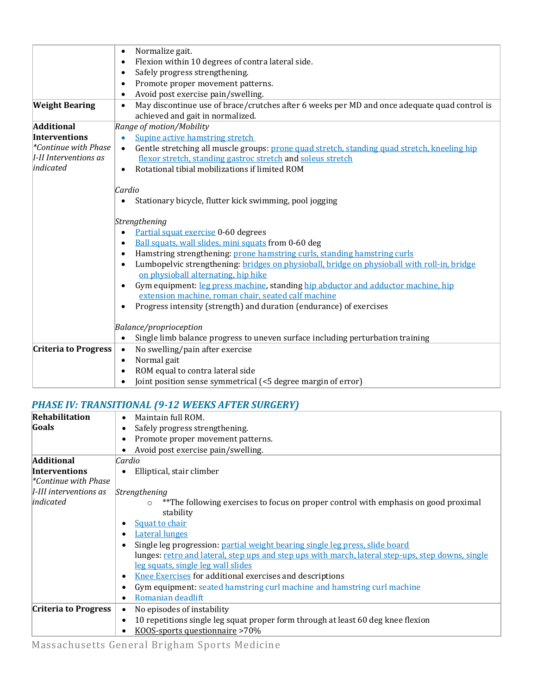|                             | Normalize gait.<br>$\bullet$                                                                              |  |  |  |  |  |
|-----------------------------|-----------------------------------------------------------------------------------------------------------|--|--|--|--|--|
|                             | Flexion within 10 degrees of contra lateral side.                                                         |  |  |  |  |  |
|                             | Safely progress strengthening.                                                                            |  |  |  |  |  |
|                             | Promote proper movement patterns.                                                                         |  |  |  |  |  |
|                             | Avoid post exercise pain/swelling.                                                                        |  |  |  |  |  |
| <b>Weight Bearing</b>       | May discontinue use of brace/crutches after 6 weeks per MD and once adequate quad control is<br>$\bullet$ |  |  |  |  |  |
|                             | achieved and gait in normalized.                                                                          |  |  |  |  |  |
| <b>Additional</b>           | Range of motion/Mobility                                                                                  |  |  |  |  |  |
| <b>Interventions</b>        | Supine active hamstring stretch<br>$\bullet$                                                              |  |  |  |  |  |
| *Continue with Phase        | Gentle stretching all muscle groups: prone quad stretch, standing quad stretch, kneeling hip<br>$\bullet$ |  |  |  |  |  |
| I-II Interventions as       | flexor stretch, standing gastroc stretch and soleus stretch                                               |  |  |  |  |  |
| indicated                   | Rotational tibial mobilizations if limited ROM<br>$\bullet$                                               |  |  |  |  |  |
|                             |                                                                                                           |  |  |  |  |  |
|                             | Cardio                                                                                                    |  |  |  |  |  |
|                             | Stationary bicycle, flutter kick swimming, pool jogging                                                   |  |  |  |  |  |
|                             |                                                                                                           |  |  |  |  |  |
|                             | Strengthening                                                                                             |  |  |  |  |  |
|                             | Partial squat exercise 0-60 degrees                                                                       |  |  |  |  |  |
|                             | Ball squats, wall slides, mini squats from 0-60 deg                                                       |  |  |  |  |  |
|                             | Hamstring strengthening: prone hamstring curls, standing hamstring curls                                  |  |  |  |  |  |
|                             | Lumbopelvic strengthening: bridges on physioball, bridge on physioball with roll-in, bridge               |  |  |  |  |  |
|                             | on physioball alternating, hip hike                                                                       |  |  |  |  |  |
|                             | Gym equipment: leg press machine, standing hip abductor and adductor machine, hip                         |  |  |  |  |  |
|                             | extension machine, roman chair, seated calf machine                                                       |  |  |  |  |  |
|                             | Progress intensity (strength) and duration (endurance) of exercises                                       |  |  |  |  |  |
|                             |                                                                                                           |  |  |  |  |  |
|                             | Balance/proprioception                                                                                    |  |  |  |  |  |
|                             | Single limb balance progress to uneven surface including perturbation training                            |  |  |  |  |  |
| <b>Criteria to Progress</b> | No swelling/pain after exercise<br>$\bullet$                                                              |  |  |  |  |  |
|                             | Normal gait<br>$\bullet$                                                                                  |  |  |  |  |  |
|                             | ROM equal to contra lateral side                                                                          |  |  |  |  |  |
|                             | Joint position sense symmetrical (<5 degree margin of error)                                              |  |  |  |  |  |

### *PHASE IV: TRANSITIONAL (9-12 WEEKS AFTER SURGERY)*

| Rehabilitation                                 | Maintain full ROM.<br>$\bullet$                                                                   |  |  |  |  |  |  |
|------------------------------------------------|---------------------------------------------------------------------------------------------------|--|--|--|--|--|--|
| Goals                                          | Safely progress strengthening.                                                                    |  |  |  |  |  |  |
|                                                | Promote proper movement patterns.                                                                 |  |  |  |  |  |  |
|                                                | Avoid post exercise pain/swelling.                                                                |  |  |  |  |  |  |
| <b>Additional</b>                              | Cardio                                                                                            |  |  |  |  |  |  |
| <b>Interventions</b>                           | Elliptical, stair climber                                                                         |  |  |  |  |  |  |
| $\mathscr{C}$ ontinue with Phase $\mathscr{C}$ |                                                                                                   |  |  |  |  |  |  |
| I-III interventions as                         | Strengthening                                                                                     |  |  |  |  |  |  |
| indicated                                      | ** The following exercises to focus on proper control with emphasis on good proximal              |  |  |  |  |  |  |
|                                                | stability                                                                                         |  |  |  |  |  |  |
|                                                | Squat to chair                                                                                    |  |  |  |  |  |  |
|                                                | <b>Lateral lunges</b>                                                                             |  |  |  |  |  |  |
|                                                | Single leg progression: partial weight bearing single leg press, slide board                      |  |  |  |  |  |  |
|                                                | lunges: retro and lateral, step ups and step ups with march, lateral step-ups, step downs, single |  |  |  |  |  |  |
|                                                | <u>leg squats, single leg wall slides</u>                                                         |  |  |  |  |  |  |
|                                                | <b>Knee Exercises</b> for additional exercises and descriptions                                   |  |  |  |  |  |  |
|                                                | Gym equipment: seated hamstring curl machine and hamstring curl machine                           |  |  |  |  |  |  |
|                                                | Romanian deadlift                                                                                 |  |  |  |  |  |  |
| <b>Criteria to Progress</b>                    | No episodes of instability                                                                        |  |  |  |  |  |  |
|                                                | 10 repetitions single leg squat proper form through at least 60 deg knee flexion                  |  |  |  |  |  |  |
|                                                | KOOS-sports questionnaire >70%                                                                    |  |  |  |  |  |  |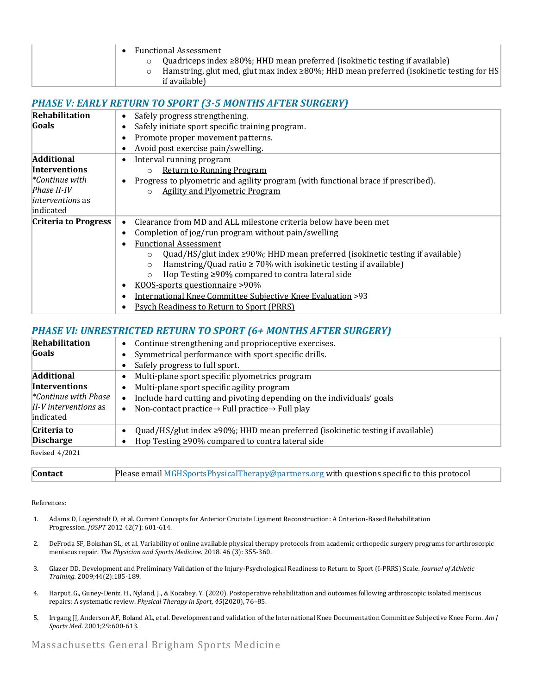|                                                                                                                | <b>Functional Assessment</b><br>Quadriceps index ≥80%; HHD mean preferred (isokinetic testing if available)<br>$\Omega$<br>Hamstring, glut med, glut max index $\geq 80\%$ ; HHD mean preferred (isokinetic testing for HS<br>$\Omega$<br>if available)                                                                                                                                                                                                                                                   |
|----------------------------------------------------------------------------------------------------------------|-----------------------------------------------------------------------------------------------------------------------------------------------------------------------------------------------------------------------------------------------------------------------------------------------------------------------------------------------------------------------------------------------------------------------------------------------------------------------------------------------------------|
|                                                                                                                | <b>PHASE V: EARLY RETURN TO SPORT (3-5 MONTHS AFTER SURGERY)</b>                                                                                                                                                                                                                                                                                                                                                                                                                                          |
| <b>Rehabilitation</b><br>Goals                                                                                 | Safely progress strengthening.<br>Safely initiate sport specific training program.<br>Promote proper movement patterns.<br>Avoid post exercise pain/swelling.                                                                                                                                                                                                                                                                                                                                             |
| <b>Additional</b><br>Interventions<br>$*$ Continue with<br>Phase II-IV<br><i>interventions</i> as<br>indicated | Interval running program<br><b>Return to Running Program</b><br>$\circ$<br>Progress to plyometric and agility program (with functional brace if prescribed).<br><b>Agility and Plyometric Program</b>                                                                                                                                                                                                                                                                                                     |
| <b>Criteria to Progress</b>                                                                                    | Clearance from MD and ALL milestone criteria below have been met<br>Completion of jog/run program without pain/swelling<br><b>Functional Assessment</b><br>Quad/HS/glut index ≥90%; HHD mean preferred (isokinetic testing if available)<br>$\Omega$<br>Hamstring/Quad ratio $\geq 70\%$ with isokinetic testing if available)<br>$\circ$<br>Hop Testing ≥90% compared to contra lateral side<br>$\circ$<br>KOOS-sports questionnaire >90%<br>International Knee Committee Subjective Knee Evaluation >93 |

## *PHASE VI: UNRESTRICTED RETURN TO SPORT (6+ MONTHS AFTER SURGERY)*

• Psych Readiness to Return to Sport (PRRS)

|                                                                                                                        | THE VE UNIVERSITY OF THE UNIVERSITY OF THE VEHICLE OF THE VEHICLE IS A VEHICLE OF THE VEHICLE OF THE VEHICLE O                                                                                                                                    |  |  |  |  |
|------------------------------------------------------------------------------------------------------------------------|---------------------------------------------------------------------------------------------------------------------------------------------------------------------------------------------------------------------------------------------------|--|--|--|--|
| Rehabilitation<br>Goals                                                                                                | Continue strengthening and proprioceptive exercises.<br>Symmetrical performance with sport specific drills.                                                                                                                                       |  |  |  |  |
|                                                                                                                        | Safely progress to full sport.                                                                                                                                                                                                                    |  |  |  |  |
| <b>Additional</b><br><b>Interventions</b><br>$\mathscr{C}$ continue with Phase<br>$II-V$ interventions as<br>indicated | Multi-plane sport specific plyometrics program<br>Multi-plane sport specific agility program<br>Include hard cutting and pivoting depending on the individuals' goals<br>Non-contact practice $\rightarrow$ Full practice $\rightarrow$ Full play |  |  |  |  |
| Criteria to<br><b>Discharge</b>                                                                                        | Quad/HS/glut index $\geq 90\%$ ; HHD mean preferred (isokinetic testing if available)<br>Hop Testing $\geq$ 90% compared to contra lateral side                                                                                                   |  |  |  |  |
| Revised 4/2021                                                                                                         |                                                                                                                                                                                                                                                   |  |  |  |  |

Revised 4/2021

| <b>Contact</b> | Please email <b>MGHSportsPhysicalTherapy@partners.org</b> with questions specific to this protocol |
|----------------|----------------------------------------------------------------------------------------------------|
|----------------|----------------------------------------------------------------------------------------------------|

References:

- 1. Adams D, Logerstedt D, et al. Current Concepts for Anterior Cruciate Ligament Reconstruction: A Criterion-Based Rehabilitation Progression. *JOSPT* 2012 42(7): 601-614.
- 2. DeFroda SF, Bokshan SL, et al. Variability of online available physical therapy protocols from academic orthopedic surgery programs for arthroscopic meniscus repair. *The Physician and Sports Medicine.* 2018. 46 (3): 355-360.
- 3. Glazer DD. Development and Preliminary Validation of the Injury-Psychological Readiness to Return to Sport (I-PRRS) Scale*. Journal of Athletic Training.* 2009;44(2):185-189.
- 4. Harput, G., Guney-Deniz, H., Nyland, J., & Kocabey, Y. (2020). Postoperative rehabilitation and outcomes following arthroscopic isolated meniscus repairs: A systematic review. *Physical Therapy in Sport*, *45*(2020), 76–85.
- 5. Irrgang JJ, Anderson AF, Boland AL, et al. Development and validation of the International Knee Documentation Committee Subjective Knee Form. *Am J Sports Med*. 2001;29:600-613.

Massachusetts General Brigham Sports Medicine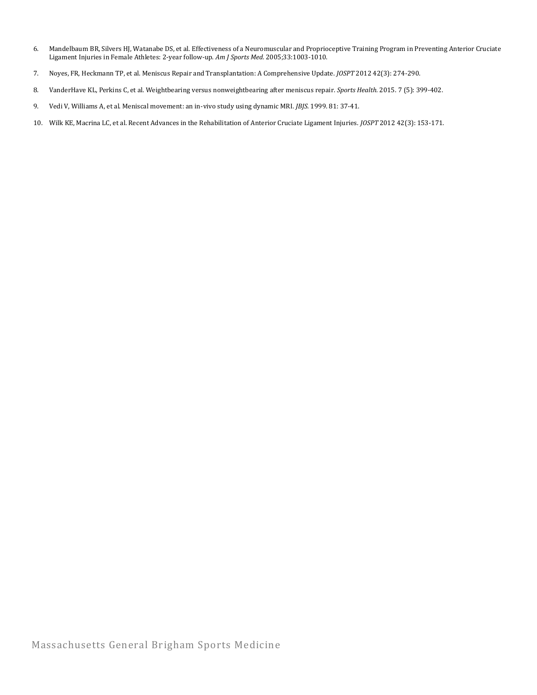- 6. Mandelbaum BR, Silvers HJ, Watanabe DS, et al. Effectiveness of a Neuromuscular and Proprioceptive Training Program in Preventing Anterior Cruciate Ligament Injuries in Female Athletes: 2-year follow-up. *Am J Sports Med.* 2005;33:1003-1010.
- 7. Noyes, FR, Heckmann TP, et al. Meniscus Repair and Transplantation: A Comprehensive Update. *JOSPT* 2012 42(3): 274-290.
- 8. VanderHave KL, Perkins C, et al. Weightbearing versus nonweightbearing after meniscus repair. *Sports Health.* 2015. 7 (5): 399-402.
- 9. Vedi V, Williams A, et al. Meniscal movement: an in-vivo study using dynamic MRI. *JBJS.* 1999. 81: 37-41.
- 10. Wilk KE, Macrina LC, et al. Recent Advances in the Rehabilitation of Anterior Cruciate Ligament Injuries. *JOSPT* 2012 42(3): 153-171.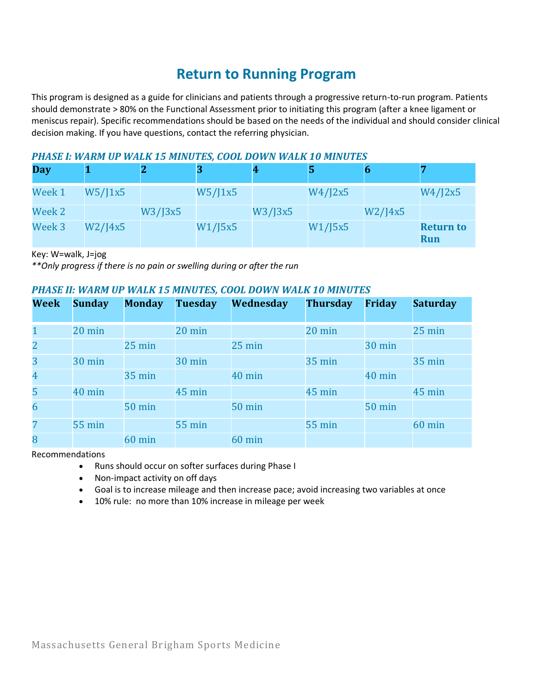## **Return to Running Program**

This program is designed as a guide for clinicians and patients through a progressive return-to-run program. Patients should demonstrate > 80% on the Functional Assessment prior to initiating this program (after a knee ligament or meniscus repair). Specific recommendations should be based on the needs of the individual and should consider clinical decision making. If you have questions, contact the referring physician.

### *PHASE I: WARM UP WALK 15 MINUTES, COOL DOWN WALK 10 MINUTES*

| <b>Day</b> |         |               |         | 4       |         |         |                                |
|------------|---------|---------------|---------|---------|---------|---------|--------------------------------|
| Week 1     | W5/J1x5 |               | W5/J1x5 |         | W4/J2x5 |         | W4/J2x5                        |
| Week 2     |         | $W3$ /J $3x5$ |         | W3/J3x5 |         | W2/14x5 |                                |
| Week 3     | W2/I4x5 |               | W1/J5x5 |         | W1/J5x5 |         | <b>Return to</b><br><b>Run</b> |

Key: W=walk, J=jog

*\*\*Only progress if there is no pain or swelling during or after the run*

### *PHASE II: WARM UP WALK 15 MINUTES, COOL DOWN WALK 10 MINUTES*

| <b>Week</b>    | <b>Sunday</b>    | <b>Monday</b>    | <b>Tuesday</b> | Wednesday        | <b>Thursday</b>  | <b>Friday</b> | <b>Saturday</b>  |
|----------------|------------------|------------------|----------------|------------------|------------------|---------------|------------------|
|                |                  |                  |                |                  |                  |               |                  |
| $\mathbf{1}$   | $20 \text{ min}$ |                  | 20 min         |                  | $20 \text{ min}$ |               | $25 \text{ min}$ |
| $\overline{2}$ |                  | $25 \text{ min}$ |                | $25 \text{ min}$ |                  | <b>30 min</b> |                  |
| 3              | <b>30 min</b>    |                  | 30 min         |                  | <b>35 min</b>    |               | <b>35 min</b>    |
| $\overline{4}$ |                  | <b>35 min</b>    |                | 40 min           |                  | 40 min        |                  |
| 5              | 40 min           |                  | 45 min         |                  | 45 min           |               | $45 \text{ min}$ |
| 6              |                  | <b>50 min</b>    |                | <b>50 min</b>    |                  | <b>50 min</b> |                  |
| 7              | <b>55 min</b>    |                  | <b>55 min</b>  |                  | <b>55 min</b>    |               | 60 min           |
| 8              |                  | <b>60 min</b>    |                | <b>60 min</b>    |                  |               |                  |

Recommendations

- Runs should occur on softer surfaces during Phase I
- Non-impact activity on off days
- Goal is to increase mileage and then increase pace; avoid increasing two variables at once
- 10% rule: no more than 10% increase in mileage per week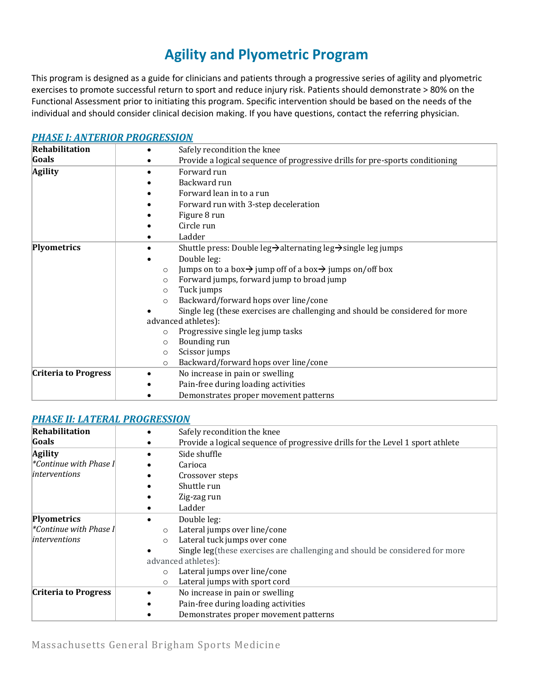## **Agility and Plyometric Program**

This program is designed as a guide for clinicians and patients through a progressive series of agility and plyometric exercises to promote successful return to sport and reduce injury risk. Patients should demonstrate > 80% on the Functional Assessment prior to initiating this program. Specific intervention should be based on the needs of the individual and should consider clinical decision making. If you have questions, contact the referring physician.

| <b>Rehabilitation</b>       | Safely recondition the knee                                                                 |  |  |  |
|-----------------------------|---------------------------------------------------------------------------------------------|--|--|--|
| Goals                       | Provide a logical sequence of progressive drills for pre-sports conditioning                |  |  |  |
| <b>Agility</b>              | Forward run                                                                                 |  |  |  |
|                             | Backward run                                                                                |  |  |  |
|                             | Forward lean in to a run                                                                    |  |  |  |
|                             | Forward run with 3-step deceleration                                                        |  |  |  |
|                             | Figure 8 run                                                                                |  |  |  |
|                             | Circle run                                                                                  |  |  |  |
|                             | Ladder                                                                                      |  |  |  |
| Plyometrics                 | Shuttle press: Double leg $\rightarrow$ alternating leg $\rightarrow$ single leg jumps      |  |  |  |
|                             | Double leg:                                                                                 |  |  |  |
|                             | Jumps on to a box $\rightarrow$ jump off of a box $\rightarrow$ jumps on/off box<br>$\circ$ |  |  |  |
|                             | Forward jumps, forward jump to broad jump<br>$\circ$                                        |  |  |  |
|                             | Tuck jumps<br>$\circ$                                                                       |  |  |  |
|                             | Backward/forward hops over line/cone<br>$\circ$                                             |  |  |  |
|                             | Single leg (these exercises are challenging and should be considered for more               |  |  |  |
|                             | advanced athletes):                                                                         |  |  |  |
|                             | Progressive single leg jump tasks<br>$\circ$                                                |  |  |  |
|                             | Bounding run<br>$\circ$                                                                     |  |  |  |
|                             | Scissor jumps<br>$\circ$                                                                    |  |  |  |
|                             | Backward/forward hops over line/cone<br>$\circ$                                             |  |  |  |
| <b>Criteria to Progress</b> | No increase in pain or swelling                                                             |  |  |  |
|                             | Pain-free during loading activities                                                         |  |  |  |
|                             | Demonstrates proper movement patterns                                                       |  |  |  |

### *[PHASE I: ANTERIOR PROGRESSION](https://www.youtube.com/watch?v=dFcVIcLOTb8&list=PLLj8wKd0c1Gw61RvQr1ptMtb1Z8HmL4tm)*

### *[PHASE II: LATERAL PROGRESSION](https://www.youtube.com/watch?v=TQfwZ_Mimxs&list=PLLj8wKd0c1Gy1Zo9wk5p6zPWPA6OOKPHP)*

| Rehabilitation              | Safely recondition the knee                                                    |
|-----------------------------|--------------------------------------------------------------------------------|
| Goals                       | Provide a logical sequence of progressive drills for the Level 1 sport athlete |
| <b>Agility</b>              | Side shuffle                                                                   |
| *Continue with Phase I      | Carioca                                                                        |
| interventions               | Crossover steps                                                                |
|                             | Shuttle run                                                                    |
|                             | Zig-zag run                                                                    |
|                             | Ladder                                                                         |
| <b>Plyometrics</b>          | Double leg:                                                                    |
| Continue with Phase I*      | Lateral jumps over line/cone<br>$\circ$                                        |
| interventions               | Lateral tuck jumps over cone<br>$\circ$                                        |
|                             | Single leg(these exercises are challenging and should be considered for more   |
|                             | advanced athletes):                                                            |
|                             | Lateral jumps over line/cone<br>$\circ$                                        |
|                             | Lateral jumps with sport cord<br>$\circ$                                       |
| <b>Criteria to Progress</b> | No increase in pain or swelling                                                |
|                             | Pain-free during loading activities                                            |
|                             | Demonstrates proper movement patterns                                          |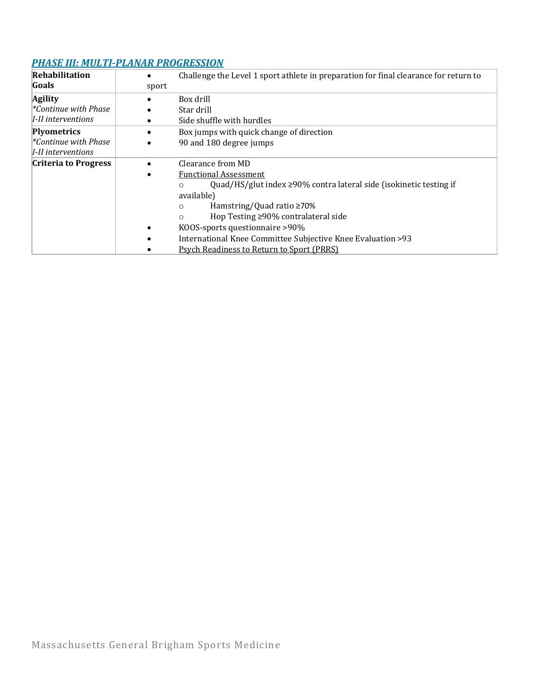## *[PHASE III: MULTI-PLANAR PROGRESSION](https://www.youtube.com/watch?v=iThi_oLlQws&list=PLLj8wKd0c1GzbfKT9fqeAk3q1X9okr2R6)*

| Rehabilitation                    |       | Challenge the Level 1 sport athlete in preparation for final clearance for return to |
|-----------------------------------|-------|--------------------------------------------------------------------------------------|
| Goals                             | sport |                                                                                      |
| <b>Agility</b>                    |       | Box drill                                                                            |
| $\mathscr{C}$ continue with Phase |       | Star drill                                                                           |
| I-II interventions                |       | Side shuffle with hurdles                                                            |
| <b>Plyometrics</b>                |       | Box jumps with quick change of direction                                             |
| $\mathscr{C}$ continue with Phase |       | 90 and 180 degree jumps                                                              |
| I-II interventions                |       |                                                                                      |
| <b>Criteria to Progress</b>       |       | Clearance from MD                                                                    |
|                                   |       | <b>Functional Assessment</b>                                                         |
|                                   |       | Quad/HS/glut index $\geq$ 90% contra lateral side (isokinetic testing if<br>O        |
|                                   |       | available)                                                                           |
|                                   |       | Hamstring/Quad ratio $\geq 70\%$<br>O                                                |
|                                   |       | Hop Testing ≥90% contralateral side<br>$\circ$                                       |
|                                   |       | KOOS-sports questionnaire >90%                                                       |
|                                   |       | International Knee Committee Subjective Knee Evaluation >93                          |
|                                   |       | <b>Psych Readiness to Return to Sport (PRRS)</b>                                     |